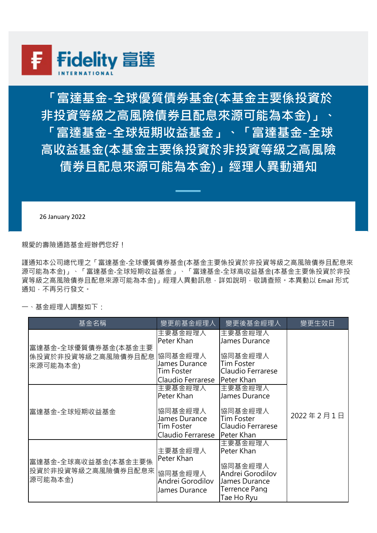

**「富達基金-全球優質債券基金(本基金主要係投資於 非投資等級之高風險債券且配息來源可能為本金)」、 「富達基金-全球短期收益基金」、「富達基金-全球 高收益基金(本基金主要係投資於非投資等級之高風險 債券且配息來源可能為本金)」經理人異動通知**

26 January 2022

親愛的壽險通路基金經辦們您好!

謹通知本公司總代理之「富達基金-全球優質債券基金(本基金主要係投資於非投資等級之高風險債券且配息來 源可能為本金)」、「富達基金-全球短期收益基金」、「富達基金-全球高收益基金(本基金主要係投資於非投 資等級之高風險債券且配息來源可能為本金)」經理人異動訊息,詳如說明,敬請查照,本異動以 Email 形式 通知,不再另行發文。

一、基金經理人調整如下:

| 基金名稱                                                  | 孿更前基金經理人                                                    | 孿更後基金經理人                                                                           | 變更生效日     |
|-------------------------------------------------------|-------------------------------------------------------------|------------------------------------------------------------------------------------|-----------|
| 富達基金-全球優質債券基金(本基金主要<br>係投資於非投資等級之高風險債券且配息<br>來源可能為本金) | 主要基金經理人<br>Peter Khan                                       | 主要基金經理人<br>James Durance                                                           | 2022年2月1日 |
|                                                       | 協同基金經理人<br>James Durance<br>Tim Foster                      | 協同基金經理人<br>Tim Foster<br>Claudio Ferrarese                                         |           |
|                                                       | Claudio Ferrarese                                           | Peter Khan                                                                         |           |
| 富達基金-全球短期收益基金                                         | 主要基金經理人<br>Peter Khan                                       | 主要基金經理人<br>James Durance                                                           |           |
|                                                       | 協同基金經理人<br>James Durance<br>Tim Foster<br>Claudio Ferrarese | 協同基金經理人<br>Tim Foster<br>Claudio Ferrarese<br>Peter Khan                           |           |
| 富達基金-全球高收益基金(本基金主要係<br>投資於非投資等級之高風險債券且配息來<br> 源可能為本金) | 主要基金經理人<br>Peter Khan                                       | 主要基金經理人<br>Peter Khan                                                              |           |
|                                                       | 協同基金經理人<br>Andrei Gorodilov<br>James Durance                | 協同基金經理人<br>Andrei Gorodilov<br>James Durance<br><b>Terrence Pang</b><br>Tae Ho Ryu |           |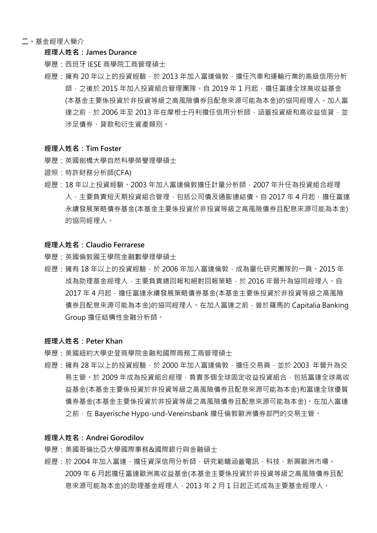## **二、**基金經理人簡介

## **經理人姓名:James Durance**

學歷:西班牙 IESE 商學院工商管理碩士

經歷:擁有 20 年以上的投資經驗, 於 2013 年加入富達倫敦, 擔任汽車和運輸行業的高級信用分析 師, 之後於 2015 年加入投資組合管理團隊。自 2019 年 1 月起, 擔任富達全球高收益基金 (本基金主要係投資於非投資等級之高風險債券且配息來源可能為本金)的協同經理人。加入富 達之前,於 2006 年至 2013 年在摩根十丹利擔任信用分析師, 涵蓋投資級和高收益信貸,並 涉足債券、貸款和衍生資產類別。

## **經理人姓名:Tim Foster**

- 學歷:英國劍橋大學自然科學榮譽理學碩士
- 證照:特許財務分析師(CFA)
- 經歷:18 年以上投資經驗。2003 年加入富達倫敦擔任計量分析師,2007 年升任為投資組合經理 人,主要負責短天期投資組合管理,包括公司債及通膨連結債。自 2017 年 4 月起,擔任富達 永續發展策略債券基金(本基金主要係投資於非投資等級之高風險債券且配息來源可能為本金) 的協同經理人。

# **經理人姓名:Claudio Ferrarese**

- 學歷:英國倫敦國王學院金融數學理學碩士
- 經歷:擁有 18 年以上的投資經驗,於 2006 年加入富達倫敦,成為量化研究團隊的一員。2015 年 成為助理基金經理人,主要負責總回報和絕對回報策略,於 2016 年晉升為協同經理人。自 2017年4月起,擔任富達永續發展策略債券基金(本基金主要係投資於非投資等級之高風險 債券且配息來源可能為本金)的協同經理人。在加入富達之前,曾於羅馬的 Capitalia Banking Group 擔任結構性金融分析師。

#### **經理人姓名:Peter Khan**

- 學歷:美國紐約大學史登商學院金融和國際商務工商管理碩士
- 經歷:擁有 28 年以上的投資經驗,於 2000 年加入富達倫敦,擔任交易員,並於 2003 年晉升為交 易主管。於 2009 年成為投資組合經理,負責多個全球固定收益投資組合,包括富達全球高收 益基金(本基金主要係投資於非投資等級之高風險債券且配息來源可能為本金)和富達全球優質 債券基金(本基金主要係投資於非投資等級之高風險債券且配息來源可能為本金)。在加入富達 之前, 在 Bayerische Hypo-und-Vereinsbank 擔任倫敦歐洲債券部門的交易主管。

# **經理人姓名:Andrei Gorodilov**

- 學歷:美國哥倫比亞大學國際事務&國際銀行與金融碩士
- 經歷:於 2004年加入富達,擔任資深信用分析師,研究範疇涵蓋電訊、科技、新興歐洲市場。 2009 年 6 月起擔任富達歐洲高收益基金(本基金主要係投資於非投資等級之高風險債券且配 息來源可能為本金)的助理基金經理人,2013 年 2 月 1 日起正式成為主要基金經理人。